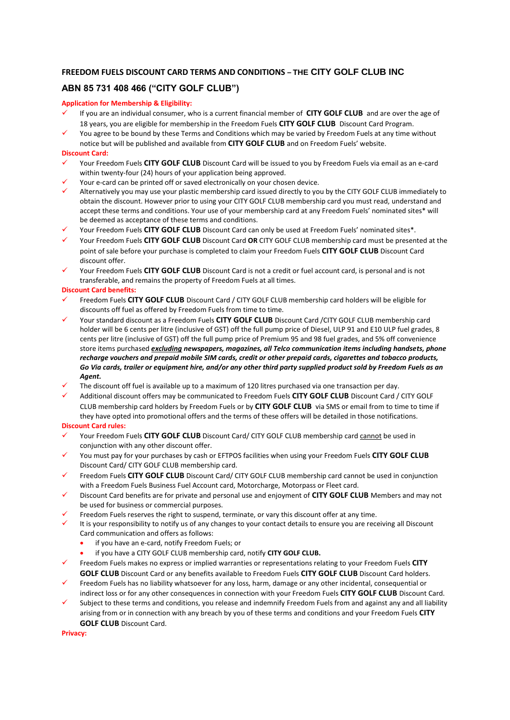# **FREEDOM FUELS DISCOUNT CARD TERMS AND CONDITIONS – THE CITY GOLF CLUB INC**

# **ABN 85 731 408 466 ("CITY GOLF CLUB")**

### **Application for Membership & Eligibility:**

- If you are an individual consumer, who is a current financial member of CITY GOLF CLUB and are over the age of 18 years, you are eligible for membership in the Freedom Fuels **CITY GOLF CLUB** Discount Card Program.
- You agree to be bound by these Terms and Conditions which may be varied by Freedom Fuels at any time without notice but will be published and available from **CITY GOLF CLUB** and on Freedom Fuels' website.

## **Discount Card:**

- ✓ Your Freedom Fuels **CITY GOLF CLUB** Discount Card will be issued to you by Freedom Fuels via email as an e-card within twenty-four (24) hours of your application being approved.
- Your e-card can be printed off or saved electronically on your chosen device.
- Alternatively you may use your plastic membership card issued directly to you by the CITY GOLF CLUB immediately to obtain the discount. However prior to using your CITY GOLF CLUB membership card you must read, understand and accept these terms and conditions. Your use of your membership card at any Freedom Fuels' nominated sites\* will be deemed as acceptance of these terms and conditions.
- Your Freedom Fuels CITY GOLF CLUB Discount Card can only be used at Freedom Fuels' nominated sites\*.
- ✓ Your Freedom Fuels **CITY GOLF CLUB** Discount Card **OR** CITY GOLF CLUB membership card must be presented at the point of sale before your purchase is completed to claim your Freedom Fuels **CITY GOLF CLUB** Discount Card discount offer.
- ✓ Your Freedom Fuels **CITY GOLF CLUB** Discount Card is not a credit or fuel account card, is personal and is not transferable, and remains the property of Freedom Fuels at all times.

### **Discount Card benefits:**

- ✓ Freedom Fuels **CITY GOLF CLUB** Discount Card / CITY GOLF CLUB membership card holders will be eligible for discounts off fuel as offered by Freedom Fuels from time to time.
- Your standard discount as a Freedom Fuels CITY GOLF CLUB Discount Card /CITY GOLF CLUB membership card holder will be 6 cents per litre (inclusive of GST) off the full pump price of Diesel, ULP 91 and E10 ULP fuel grades, 8 cents per litre (inclusive of GST) off the full pump price of Premium 95 and 98 fuel grades, and 5% off convenience store items purchased *excluding newspapers, magazines, all Telco communication items including handsets, phone recharge vouchers and prepaid mobile SIM cards, credit or other prepaid cards, cigarettes and tobacco products, Go Via cards, trailer or equipment hire, and/or any other third party supplied product sold by Freedom Fuels as an Agent.*
- The discount off fuel is available up to a maximum of 120 litres purchased via one transaction per day.
- ✓ Additional discount offers may be communicated to Freedom Fuels **CITY GOLF CLUB** Discount Card / CITY GOLF CLUB membership card holders by Freedom Fuels or by **CITY GOLF CLUB** via SMS or email from to time to time if they have opted into promotional offers and the terms of these offers will be detailed in those notifications.

### **Discount Card rules:**

- Your Freedom Fuels CITY GOLF CLUB Discount Card/ CITY GOLF CLUB membership card cannot be used in conjunction with any other discount offer.
- You must pay for your purchases by cash or EFTPOS facilities when using your Freedom Fuels CITY GOLF CLUB Discount Card/ CITY GOLF CLUB membership card.
- Freedom Fuels CITY GOLF CLUB Discount Card/ CITY GOLF CLUB membership card cannot be used in conjunction with a Freedom Fuels Business Fuel Account card, Motorcharge, Motorpass or Fleet card.
- ✓ Discount Card benefits are for private and personal use and enjoyment of **CITY GOLF CLUB** Members and may not be used for business or commercial purposes.
- Freedom Fuels reserves the right to suspend, terminate, or vary this discount offer at any time.
- It is your responsibility to notify us of any changes to your contact details to ensure you are receiving all Discount Card communication and offers as follows:
	- if you have an e-card, notify Freedom Fuels; or
	- if you have a CITY GOLF CLUB membership card, notify **CITY GOLF CLUB.**
- ✓ Freedom Fuels makes no express or implied warranties or representations relating to your Freedom Fuels **CITY GOLF CLUB** Discount Card or any benefits available to Freedom Fuels **CITY GOLF CLUB** Discount Card holders.
- Freedom Fuels has no liability whatsoever for any loss, harm, damage or any other incidental, consequential or indirect loss or for any other consequences in connection with your Freedom Fuels **CITY GOLF CLUB** Discount Card.
- Subject to these terms and conditions, you release and indemnify Freedom Fuels from and against any and all liability arising from or in connection with any breach by you of these terms and conditions and your Freedom Fuels **CITY GOLF CLUB** Discount Card.

**Privacy:**